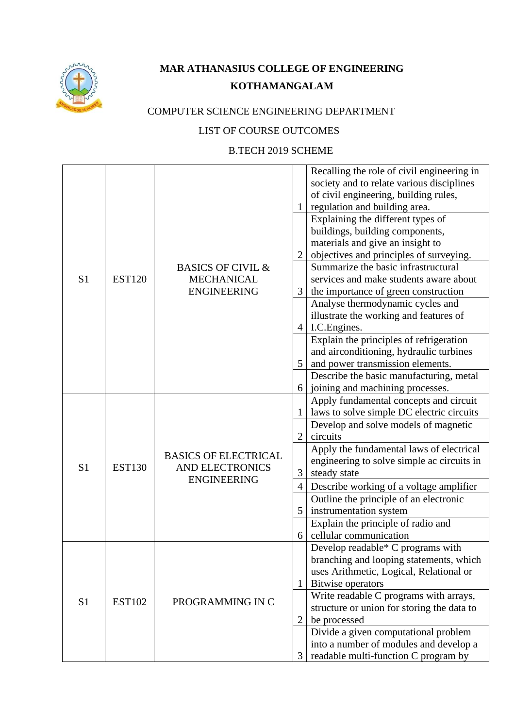

## **MAR ATHANASIUS COLLEGE OF ENGINEERING KOTHAMANGALAM**

## COMPUTER SCIENCE ENGINEERING DEPARTMENT

## LIST OF COURSE OUTCOMES

## B.TECH 2019 SCHEME

|                |               |                              |                | Recalling the role of civil engineering in<br>society and to relate various disciplines |
|----------------|---------------|------------------------------|----------------|-----------------------------------------------------------------------------------------|
|                |               |                              |                | of civil engineering, building rules,                                                   |
|                |               |                              |                | regulation and building area.                                                           |
|                |               |                              |                | Explaining the different types of                                                       |
|                |               |                              |                | buildings, building components,                                                         |
|                |               |                              |                | materials and give an insight to                                                        |
|                |               |                              | $\overline{2}$ | objectives and principles of surveying.                                                 |
|                |               | <b>BASICS OF CIVIL &amp;</b> |                | Summarize the basic infrastructural                                                     |
| S <sub>1</sub> | <b>EST120</b> | <b>MECHANICAL</b>            |                | services and make students aware about                                                  |
|                |               | <b>ENGINEERING</b>           | 3              | the importance of green construction                                                    |
|                |               |                              |                | Analyse thermodynamic cycles and                                                        |
|                |               |                              |                | illustrate the working and features of                                                  |
|                |               |                              | 4              | I.C. Engines.                                                                           |
|                |               |                              |                | Explain the principles of refrigeration                                                 |
|                |               |                              |                | and airconditioning, hydraulic turbines                                                 |
|                |               |                              | 5              | and power transmission elements.                                                        |
|                |               |                              |                | Describe the basic manufacturing, metal                                                 |
|                |               |                              | 6              | joining and machining processes.                                                        |
|                |               |                              |                | Apply fundamental concepts and circuit                                                  |
|                | <b>EST130</b> |                              | 1              | laws to solve simple DC electric circuits                                               |
|                |               |                              |                | Develop and solve models of magnetic                                                    |
|                |               |                              | 2              | circuits                                                                                |
|                |               | <b>BASICS OF ELECTRICAL</b>  |                | Apply the fundamental laws of electrical                                                |
| S <sub>1</sub> |               | <b>AND ELECTRONICS</b>       |                | engineering to solve simple ac circuits in                                              |
|                |               | <b>ENGINEERING</b>           | 3              | steady state                                                                            |
|                |               |                              | $\overline{4}$ | Describe working of a voltage amplifier                                                 |
|                |               |                              |                | Outline the principle of an electronic                                                  |
|                |               |                              | 5              | instrumentation system                                                                  |
|                |               |                              |                | Explain the principle of radio and                                                      |
|                |               |                              | 6              | cellular communication                                                                  |
|                |               |                              |                | Develop readable* C programs with                                                       |
|                |               |                              |                | branching and looping statements, which                                                 |
|                |               |                              |                | uses Arithmetic, Logical, Relational or                                                 |
|                |               |                              | 1              | Bitwise operators                                                                       |
| S <sub>1</sub> | <b>EST102</b> | PROGRAMMING IN C             |                | Write readable C programs with arrays,                                                  |
|                |               |                              |                | structure or union for storing the data to                                              |
|                |               |                              | $\overline{2}$ | be processed                                                                            |
|                |               |                              |                | Divide a given computational problem                                                    |
|                |               |                              |                | into a number of modules and develop a                                                  |
|                |               |                              | 3              | readable multi-function C program by                                                    |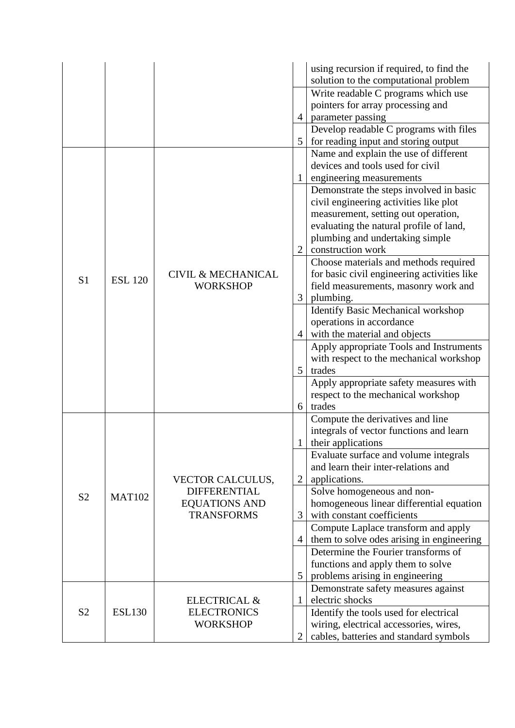|                |                |                                                |                | using recursion if required, to find the<br>solution to the computational problem |
|----------------|----------------|------------------------------------------------|----------------|-----------------------------------------------------------------------------------|
|                |                |                                                |                | Write readable C programs which use                                               |
|                |                |                                                |                | pointers for array processing and                                                 |
|                |                |                                                | 4              | parameter passing                                                                 |
|                |                |                                                |                | Develop readable C programs with files                                            |
|                |                |                                                | 5              | for reading input and storing output                                              |
|                |                |                                                |                | Name and explain the use of different                                             |
|                |                |                                                |                | devices and tools used for civil                                                  |
|                |                |                                                | $\mathbf{1}$   | engineering measurements                                                          |
|                |                |                                                |                | Demonstrate the steps involved in basic<br>civil engineering activities like plot |
|                |                |                                                |                | measurement, setting out operation,                                               |
|                |                |                                                |                | evaluating the natural profile of land,                                           |
|                |                |                                                |                | plumbing and undertaking simple                                                   |
|                |                |                                                | $\overline{2}$ | construction work                                                                 |
|                |                |                                                |                | Choose materials and methods required                                             |
|                |                | <b>CIVIL &amp; MECHANICAL</b>                  |                | for basic civil engineering activities like                                       |
| S <sub>1</sub> | <b>ESL 120</b> | <b>WORKSHOP</b>                                |                | field measurements, masonry work and                                              |
|                |                |                                                | 3              | plumbing.                                                                         |
|                |                |                                                |                | Identify Basic Mechanical workshop                                                |
|                |                |                                                |                | operations in accordance                                                          |
|                |                |                                                | 4              | with the material and objects                                                     |
|                |                |                                                |                | Apply appropriate Tools and Instruments                                           |
|                |                |                                                |                | with respect to the mechanical workshop                                           |
|                |                |                                                | 5              | trades                                                                            |
|                |                |                                                |                | Apply appropriate safety measures with                                            |
|                |                |                                                |                | respect to the mechanical workshop                                                |
|                |                |                                                | 6              | trades                                                                            |
|                |                |                                                |                | Compute the derivatives and line                                                  |
|                |                |                                                |                | integrals of vector functions and learn                                           |
|                |                |                                                | 1              | their applications                                                                |
|                |                |                                                |                | Evaluate surface and volume integrals<br>and learn their inter-relations and      |
|                |                |                                                | $\overline{2}$ | applications.                                                                     |
|                |                | <b>VECTOR CALCULUS,</b><br><b>DIFFERENTIAL</b> |                | Solve homogeneous and non-                                                        |
| S <sub>2</sub> | <b>MAT102</b>  | <b>EQUATIONS AND</b>                           |                | homogeneous linear differential equation                                          |
|                |                | <b>TRANSFORMS</b>                              | 3              | with constant coefficients                                                        |
|                |                |                                                |                | Compute Laplace transform and apply                                               |
|                |                |                                                | 4              | them to solve odes arising in engineering                                         |
|                |                |                                                |                | Determine the Fourier transforms of                                               |
|                |                |                                                |                | functions and apply them to solve                                                 |
|                |                |                                                | 5              | problems arising in engineering                                                   |
|                |                |                                                |                | Demonstrate safety measures against                                               |
|                |                | ELECTRICAL &                                   | 1              | electric shocks                                                                   |
| S <sub>2</sub> | <b>ESL130</b>  | <b>ELECTRONICS</b>                             |                | Identify the tools used for electrical                                            |
|                |                | <b>WORKSHOP</b>                                |                | wiring, electrical accessories, wires,                                            |
|                |                |                                                | $\overline{2}$ | cables, batteries and standard symbols                                            |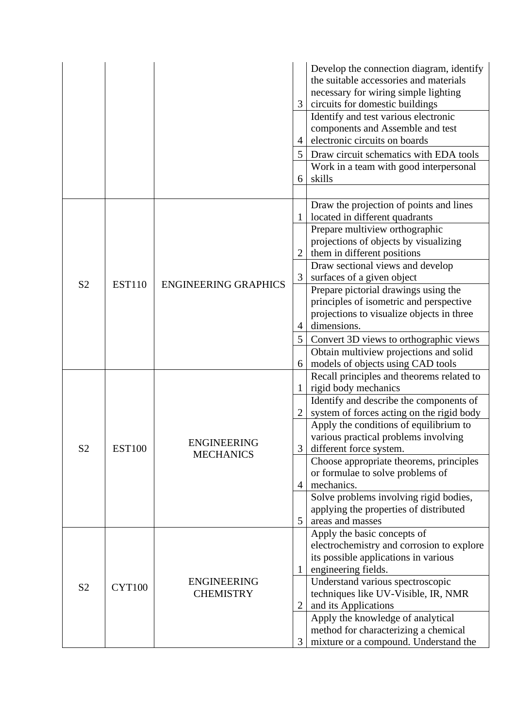|                |               |                             | 3              | Develop the connection diagram, identify<br>the suitable accessories and materials<br>necessary for wiring simple lighting<br>circuits for domestic buildings |
|----------------|---------------|-----------------------------|----------------|---------------------------------------------------------------------------------------------------------------------------------------------------------------|
|                |               |                             | $\overline{4}$ | Identify and test various electronic<br>components and Assemble and test<br>electronic circuits on boards                                                     |
|                |               |                             | 5              | Draw circuit schematics with EDA tools                                                                                                                        |
|                |               |                             | 6              | Work in a team with good interpersonal<br>skills                                                                                                              |
|                |               |                             |                |                                                                                                                                                               |
|                |               |                             | 1              | Draw the projection of points and lines<br>located in different quadrants                                                                                     |
|                |               |                             |                | Prepare multiview orthographic                                                                                                                                |
|                |               |                             |                | projections of objects by visualizing                                                                                                                         |
|                |               |                             |                | them in different positions                                                                                                                                   |
|                |               |                             |                | Draw sectional views and develop                                                                                                                              |
| S <sub>2</sub> | <b>EST110</b> | <b>ENGINEERING GRAPHICS</b> | 3              | surfaces of a given object                                                                                                                                    |
|                |               |                             |                | Prepare pictorial drawings using the                                                                                                                          |
|                |               |                             |                | principles of isometric and perspective                                                                                                                       |
|                |               |                             |                | projections to visualize objects in three<br>dimensions.                                                                                                      |
|                |               |                             | 4              |                                                                                                                                                               |
|                |               |                             | 5              | Convert 3D views to orthographic views                                                                                                                        |
|                |               |                             |                | Obtain multiview projections and solid                                                                                                                        |
|                |               |                             | 6              | models of objects using CAD tools                                                                                                                             |
|                |               |                             | 1              | Recall principles and theorems related to<br>rigid body mechanics                                                                                             |
|                | <b>EST100</b> |                             |                | Identify and describe the components of                                                                                                                       |
|                |               |                             |                | system of forces acting on the rigid body                                                                                                                     |
|                |               |                             |                | Apply the conditions of equilibrium to                                                                                                                        |
|                |               | <b>ENGINEERING</b>          |                | various practical problems involving                                                                                                                          |
| S <sub>2</sub> |               |                             | 3 <sup>1</sup> | different force system.                                                                                                                                       |
|                |               | <b>MECHANICS</b>            |                | Choose appropriate theorems, principles                                                                                                                       |
|                |               |                             |                | or formulae to solve problems of                                                                                                                              |
|                |               |                             | 4              | mechanics.                                                                                                                                                    |
|                |               |                             |                | Solve problems involving rigid bodies,                                                                                                                        |
|                |               |                             |                | applying the properties of distributed                                                                                                                        |
|                |               |                             | 5              | areas and masses                                                                                                                                              |
|                |               |                             |                | Apply the basic concepts of                                                                                                                                   |
|                |               |                             |                | electrochemistry and corrosion to explore                                                                                                                     |
| S <sub>2</sub> |               |                             |                | its possible applications in various                                                                                                                          |
|                |               |                             | 1              | engineering fields.                                                                                                                                           |
|                | <b>CYT100</b> | <b>ENGINEERING</b>          |                | Understand various spectroscopic                                                                                                                              |
|                |               | <b>CHEMISTRY</b>            |                | techniques like UV-Visible, IR, NMR                                                                                                                           |
|                |               |                             | $\overline{2}$ | and its Applications                                                                                                                                          |
|                |               |                             |                | Apply the knowledge of analytical                                                                                                                             |
|                |               |                             |                | method for characterizing a chemical                                                                                                                          |
|                |               |                             | 3              | mixture or a compound. Understand the                                                                                                                         |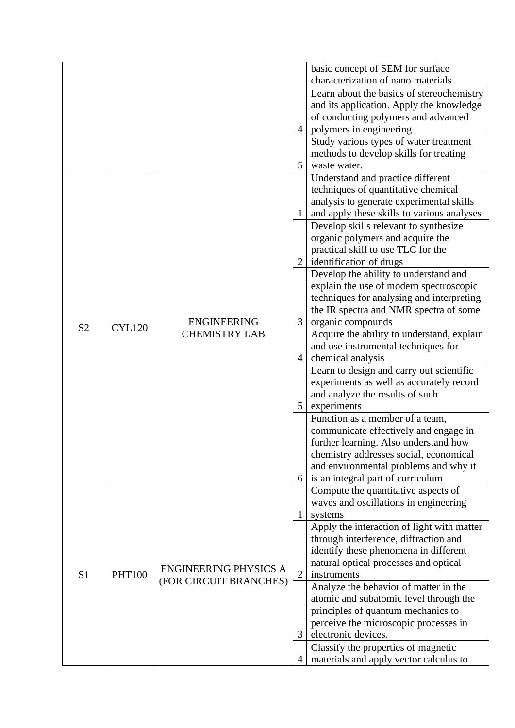|                |               |                                            |                | basic concept of SEM for surface           |
|----------------|---------------|--------------------------------------------|----------------|--------------------------------------------|
|                |               |                                            |                | characterization of nano materials         |
|                |               |                                            |                | Learn about the basics of stereochemistry  |
|                |               |                                            |                | and its application. Apply the knowledge   |
|                |               |                                            |                | of conducting polymers and advanced        |
|                |               |                                            | 4              | polymers in engineering                    |
|                |               |                                            |                | Study various types of water treatment     |
|                |               |                                            |                | methods to develop skills for treating     |
|                |               |                                            | 5              | waste water.                               |
|                |               |                                            |                | Understand and practice different          |
|                |               |                                            |                | techniques of quantitative chemical        |
|                |               |                                            |                | analysis to generate experimental skills   |
|                |               |                                            | $\mathbf{1}$   | and apply these skills to various analyses |
|                |               |                                            |                | Develop skills relevant to synthesize      |
|                |               |                                            |                | organic polymers and acquire the           |
|                |               |                                            |                | practical skill to use TLC for the         |
|                |               |                                            |                | identification of drugs                    |
|                |               |                                            |                | Develop the ability to understand and      |
|                | <b>CYL120</b> | <b>ENGINEERING</b><br><b>CHEMISTRY LAB</b> |                | explain the use of modern spectroscopic    |
|                |               |                                            |                | techniques for analysing and interpreting  |
|                |               |                                            |                | the IR spectra and NMR spectra of some     |
| S <sub>2</sub> |               |                                            | 3              | organic compounds                          |
|                |               |                                            |                | Acquire the ability to understand, explain |
|                |               |                                            | $\overline{4}$ | and use instrumental techniques for        |
|                |               |                                            |                | chemical analysis                          |
|                |               |                                            |                | Learn to design and carry out scientific   |
|                |               |                                            |                | experiments as well as accurately record   |
|                |               |                                            |                | and analyze the results of such            |
|                |               |                                            | 5              | experiments                                |
|                |               |                                            |                | Function as a member of a team,            |
|                |               |                                            |                | communicate effectively and engage in      |
|                |               |                                            |                | further learning. Also understand how      |
|                |               |                                            |                | chemistry addresses social, economical     |
|                |               |                                            |                | and environmental problems and why it      |
|                |               |                                            | 6              | is an integral part of curriculum          |
|                |               |                                            |                | Compute the quantitative aspects of        |
|                |               |                                            |                | waves and oscillations in engineering      |
|                |               |                                            | 1              | systems                                    |
|                |               |                                            |                | Apply the interaction of light with matter |
|                |               |                                            |                | through interference, diffraction and      |
|                |               |                                            |                | identify these phenomena in different      |
| S <sub>1</sub> |               |                                            |                | natural optical processes and optical      |
|                | <b>PHT100</b> | <b>ENGINEERING PHYSICS A</b>               | $\overline{2}$ | instruments                                |
|                |               | (FOR CIRCUIT BRANCHES)                     |                | Analyze the behavior of matter in the      |
|                |               |                                            |                | atomic and subatomic level through the     |
|                |               |                                            |                | principles of quantum mechanics to         |
|                |               |                                            |                | perceive the microscopic processes in      |
|                |               |                                            | 3              | electronic devices.                        |
|                |               |                                            |                | Classify the properties of magnetic        |
|                |               |                                            | $\overline{4}$ | materials and apply vector calculus to     |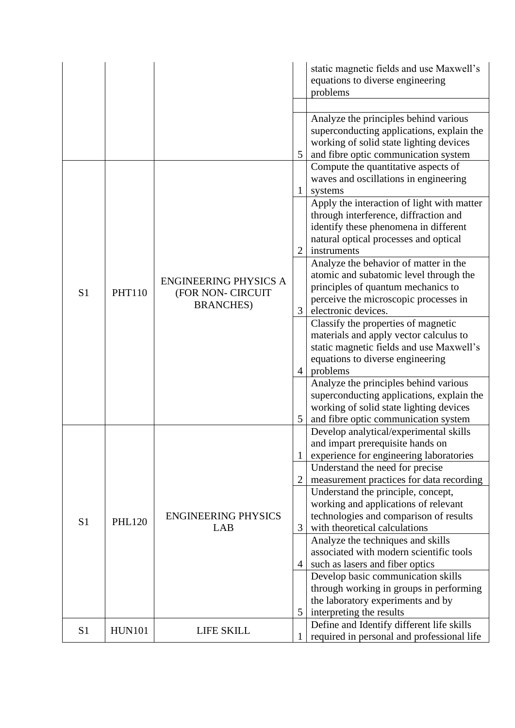|                |               |                                                                        |   | static magnetic fields and use Maxwell's<br>equations to diverse engineering<br>problems                                                                                              |
|----------------|---------------|------------------------------------------------------------------------|---|---------------------------------------------------------------------------------------------------------------------------------------------------------------------------------------|
|                |               |                                                                        | 5 | Analyze the principles behind various<br>superconducting applications, explain the<br>working of solid state lighting devices<br>and fibre optic communication system                 |
|                |               |                                                                        | 1 | Compute the quantitative aspects of<br>waves and oscillations in engineering<br>systems                                                                                               |
|                |               |                                                                        | 2 | Apply the interaction of light with matter<br>through interference, diffraction and<br>identify these phenomena in different<br>natural optical processes and optical<br>instruments  |
| S <sub>1</sub> | <b>PHT110</b> | <b>ENGINEERING PHYSICS A</b><br>(FOR NON- CIRCUIT<br><b>BRANCHES</b> ) | 3 | Analyze the behavior of matter in the<br>atomic and subatomic level through the<br>principles of quantum mechanics to<br>perceive the microscopic processes in<br>electronic devices. |
|                |               |                                                                        | 4 | Classify the properties of magnetic<br>materials and apply vector calculus to<br>static magnetic fields and use Maxwell's<br>equations to diverse engineering<br>problems             |
|                |               |                                                                        | 5 | Analyze the principles behind various<br>superconducting applications, explain the<br>working of solid state lighting devices<br>and fibre optic communication system                 |
|                |               |                                                                        | 1 | Develop analytical/experimental skills<br>and impart prerequisite hands on<br>experience for engineering laboratories                                                                 |
|                | <b>PHL120</b> |                                                                        |   | Understand the need for precise<br>measurement practices for data recording                                                                                                           |
|                |               |                                                                        |   | Understand the principle, concept,                                                                                                                                                    |
| S <sub>1</sub> |               | <b>ENGINEERING PHYSICS</b><br>LAB                                      | 3 | working and applications of relevant<br>technologies and comparison of results<br>with theoretical calculations                                                                       |
|                |               |                                                                        | 4 | Analyze the techniques and skills<br>associated with modern scientific tools<br>such as lasers and fiber optics                                                                       |
|                |               |                                                                        |   | Develop basic communication skills<br>through working in groups in performing<br>the laboratory experiments and by                                                                    |
|                |               |                                                                        | 5 | interpreting the results<br>Define and Identify different life skills                                                                                                                 |
| S <sub>1</sub> | <b>HUN101</b> | LIFE SKILL                                                             | 1 | required in personal and professional life                                                                                                                                            |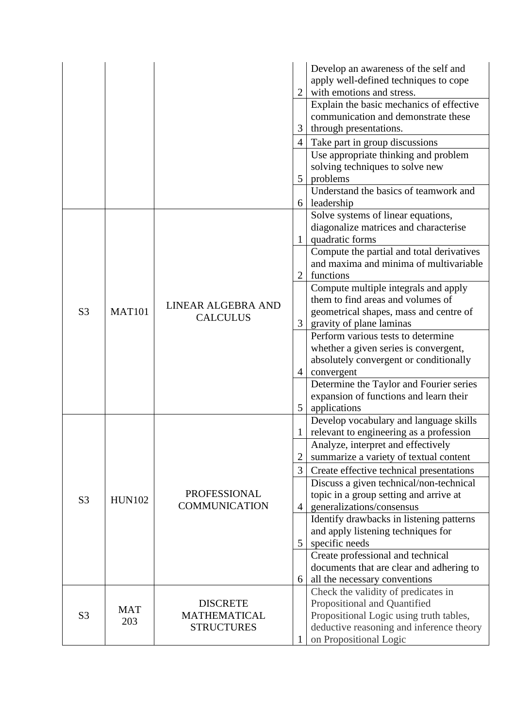|                |                   |                                             | 3              | Develop an awareness of the self and<br>apply well-defined techniques to cope<br>with emotions and stress.<br>Explain the basic mechanics of effective<br>communication and demonstrate these<br>through presentations.<br>Take part in group discussions<br>Use appropriate thinking and problem |
|----------------|-------------------|---------------------------------------------|----------------|---------------------------------------------------------------------------------------------------------------------------------------------------------------------------------------------------------------------------------------------------------------------------------------------------|
|                |                   |                                             | 5              | solving techniques to solve new<br>problems<br>Understand the basics of teamwork and                                                                                                                                                                                                              |
|                |                   |                                             | 6              | leadership<br>Solve systems of linear equations,<br>diagonalize matrices and characterise                                                                                                                                                                                                         |
|                |                   |                                             | 2              | quadratic forms<br>Compute the partial and total derivatives<br>and maxima and minima of multivariable<br>functions                                                                                                                                                                               |
| S <sub>3</sub> | <b>MAT101</b>     | LINEAR ALGEBRA AND<br><b>CALCULUS</b>       | 3              | Compute multiple integrals and apply<br>them to find areas and volumes of<br>geometrical shapes, mass and centre of<br>gravity of plane laminas                                                                                                                                                   |
|                |                   |                                             | $\overline{4}$ | Perform various tests to determine<br>whether a given series is convergent,<br>absolutely convergent or conditionally<br>convergent                                                                                                                                                               |
|                |                   |                                             | 5              | Determine the Taylor and Fourier series<br>expansion of functions and learn their<br>applications                                                                                                                                                                                                 |
|                |                   |                                             |                | Develop vocabulary and language skills<br>relevant to engineering as a profession                                                                                                                                                                                                                 |
|                |                   |                                             | $\overline{2}$ | Analyze, interpret and effectively<br>summarize a variety of textual content                                                                                                                                                                                                                      |
|                |                   |                                             | 3              | Create effective technical presentations                                                                                                                                                                                                                                                          |
| S <sub>3</sub> | <b>HUN102</b>     | <b>PROFESSIONAL</b><br><b>COMMUNICATION</b> | $\overline{A}$ | Discuss a given technical/non-technical<br>topic in a group setting and arrive at<br>generalizations/consensus                                                                                                                                                                                    |
|                |                   |                                             |                | Identify drawbacks in listening patterns                                                                                                                                                                                                                                                          |
|                |                   |                                             | 5              | and apply listening techniques for<br>specific needs                                                                                                                                                                                                                                              |
|                |                   |                                             | 6              | Create professional and technical<br>documents that are clear and adhering to<br>all the necessary conventions                                                                                                                                                                                    |
|                |                   |                                             |                | Check the validity of predicates in                                                                                                                                                                                                                                                               |
|                |                   | <b>DISCRETE</b>                             |                | Propositional and Quantified                                                                                                                                                                                                                                                                      |
| S <sub>3</sub> | <b>MAT</b><br>203 | <b>MATHEMATICAL</b><br><b>STRUCTURES</b>    |                | Propositional Logic using truth tables,                                                                                                                                                                                                                                                           |
|                |                   |                                             |                | deductive reasoning and inference theory                                                                                                                                                                                                                                                          |
|                |                   |                                             |                | on Propositional Logic                                                                                                                                                                                                                                                                            |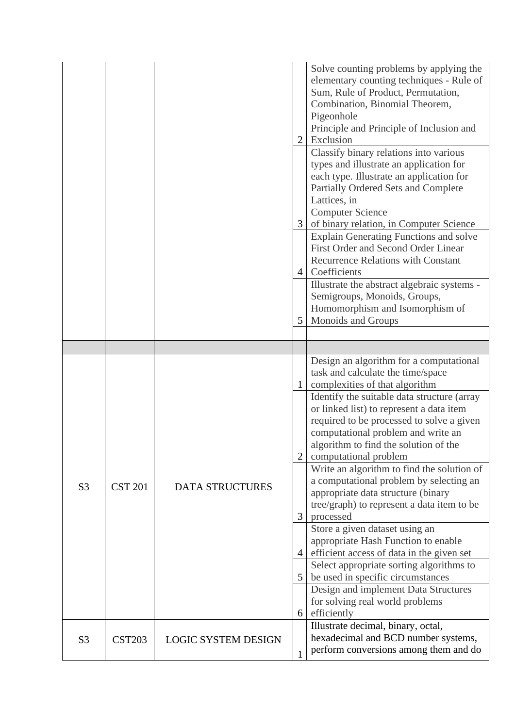|                |                |                            | 2              | Solve counting problems by applying the<br>elementary counting techniques - Rule of<br>Sum, Rule of Product, Permutation,<br>Combination, Binomial Theorem,<br>Pigeonhole<br>Principle and Principle of Inclusion and<br>Exclusion                         |
|----------------|----------------|----------------------------|----------------|------------------------------------------------------------------------------------------------------------------------------------------------------------------------------------------------------------------------------------------------------------|
|                |                |                            | $\mathfrak{Z}$ | Classify binary relations into various<br>types and illustrate an application for<br>each type. Illustrate an application for<br>Partially Ordered Sets and Complete<br>Lattices, in<br><b>Computer Science</b><br>of binary relation, in Computer Science |
|                |                |                            | 4              | <b>Explain Generating Functions and solve</b><br>First Order and Second Order Linear<br><b>Recurrence Relations with Constant</b><br>Coefficients                                                                                                          |
|                |                |                            | 5              | Illustrate the abstract algebraic systems -<br>Semigroups, Monoids, Groups,<br>Homomorphism and Isomorphism of<br>Monoids and Groups                                                                                                                       |
|                |                |                            |                |                                                                                                                                                                                                                                                            |
|                |                |                            |                |                                                                                                                                                                                                                                                            |
|                | <b>CST 201</b> | <b>DATA STRUCTURES</b>     |                | Design an algorithm for a computational<br>task and calculate the time/space<br>complexities of that algorithm                                                                                                                                             |
|                |                |                            | $\overline{2}$ | Identify the suitable data structure (array<br>or linked list) to represent a data item<br>required to be processed to solve a given<br>computational problem and write an<br>algorithm to find the solution of the<br>computational problem               |
| S <sub>3</sub> |                |                            | 3              | Write an algorithm to find the solution of<br>a computational problem by selecting an<br>appropriate data structure (binary<br>tree/graph) to represent a data item to be<br>processed                                                                     |
|                |                |                            | $\overline{4}$ | Store a given dataset using an<br>appropriate Hash Function to enable<br>efficient access of data in the given set                                                                                                                                         |
|                |                |                            | 5              | Select appropriate sorting algorithms to<br>be used in specific circumstances                                                                                                                                                                              |
|                |                |                            | 6              | Design and implement Data Structures<br>for solving real world problems<br>efficiently                                                                                                                                                                     |
| S <sub>3</sub> | <b>CST203</b>  | <b>LOGIC SYSTEM DESIGN</b> | 1              | Illustrate decimal, binary, octal,<br>hexadecimal and BCD number systems,<br>perform conversions among them and do                                                                                                                                         |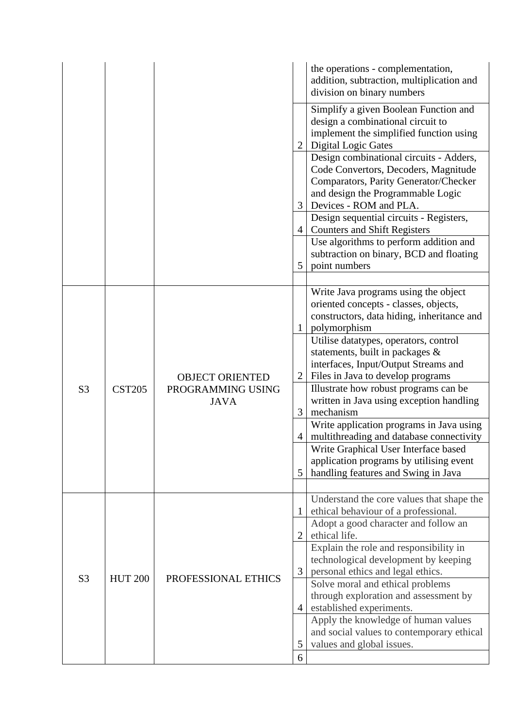|                |                |                                                            |                                               | the operations - complementation,<br>addition, subtraction, multiplication and<br>division on binary numbers                                                                                                                                                                                                                                                                                                                                                                                                                                                                                                                |
|----------------|----------------|------------------------------------------------------------|-----------------------------------------------|-----------------------------------------------------------------------------------------------------------------------------------------------------------------------------------------------------------------------------------------------------------------------------------------------------------------------------------------------------------------------------------------------------------------------------------------------------------------------------------------------------------------------------------------------------------------------------------------------------------------------------|
|                |                |                                                            | 2<br>3                                        | Simplify a given Boolean Function and<br>design a combinational circuit to<br>implement the simplified function using<br><b>Digital Logic Gates</b><br>Design combinational circuits - Adders,<br>Code Convertors, Decoders, Magnitude<br>Comparators, Parity Generator/Checker<br>and design the Programmable Logic<br>Devices - ROM and PLA.                                                                                                                                                                                                                                                                              |
|                |                |                                                            | $\overline{4}$<br>5                           | Design sequential circuits - Registers,<br><b>Counters and Shift Registers</b><br>Use algorithms to perform addition and<br>subtraction on binary, BCD and floating<br>point numbers                                                                                                                                                                                                                                                                                                                                                                                                                                        |
| S <sub>3</sub> | <b>CST205</b>  | <b>OBJECT ORIENTED</b><br>PROGRAMMING USING<br><b>JAVA</b> | $\mathbf{1}$<br>$\overline{2}$<br>3<br>4<br>5 | Write Java programs using the object<br>oriented concepts - classes, objects,<br>constructors, data hiding, inheritance and<br>polymorphism<br>Utilise datatypes, operators, control<br>statements, built in packages $\&$<br>interfaces, Input/Output Streams and<br>Files in Java to develop programs<br>Illustrate how robust programs can be<br>written in Java using exception handling<br>mechanism<br>Write application programs in Java using<br>multithreading and database connectivity<br>Write Graphical User Interface based<br>application programs by utilising event<br>handling features and Swing in Java |
| S <sub>3</sub> | <b>HUT 200</b> | PROFESSIONAL ETHICS                                        | 1<br>$\overline{2}$<br>3<br>4                 | Understand the core values that shape the<br>ethical behaviour of a professional.<br>Adopt a good character and follow an<br>ethical life.<br>Explain the role and responsibility in<br>technological development by keeping<br>personal ethics and legal ethics.<br>Solve moral and ethical problems<br>through exploration and assessment by<br>established experiments.<br>Apply the knowledge of human values<br>and social values to contemporary ethical                                                                                                                                                              |
|                |                |                                                            | 5<br>6                                        | values and global issues.                                                                                                                                                                                                                                                                                                                                                                                                                                                                                                                                                                                                   |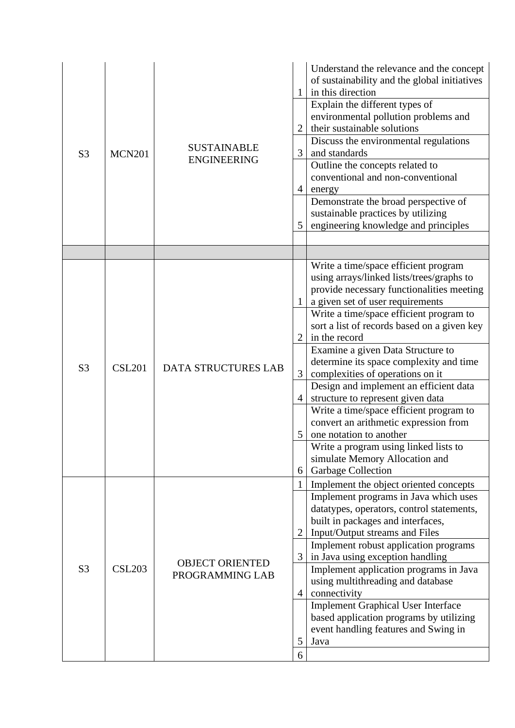| S <sub>3</sub> | <b>MCN201</b> | <b>SUSTAINABLE</b><br><b>ENGINEERING</b>  | 2<br>3<br>$\overline{4}$<br>5                      | Understand the relevance and the concept<br>of sustainability and the global initiatives<br>in this direction<br>Explain the different types of<br>environmental pollution problems and<br>their sustainable solutions<br>Discuss the environmental regulations<br>and standards<br>Outline the concepts related to<br>conventional and non-conventional<br>energy<br>Demonstrate the broad perspective of<br>sustainable practices by utilizing<br>engineering knowledge and principles                                                                                                                                                                                                         |
|----------------|---------------|-------------------------------------------|----------------------------------------------------|--------------------------------------------------------------------------------------------------------------------------------------------------------------------------------------------------------------------------------------------------------------------------------------------------------------------------------------------------------------------------------------------------------------------------------------------------------------------------------------------------------------------------------------------------------------------------------------------------------------------------------------------------------------------------------------------------|
|                |               |                                           |                                                    |                                                                                                                                                                                                                                                                                                                                                                                                                                                                                                                                                                                                                                                                                                  |
| S <sub>3</sub> | <b>CSL201</b> | <b>DATA STRUCTURES LAB</b>                | 1<br>2<br>3<br>$\overline{4}$<br>6                 | Write a time/space efficient program<br>using arrays/linked lists/trees/graphs to<br>provide necessary functionalities meeting<br>a given set of user requirements<br>Write a time/space efficient program to<br>sort a list of records based on a given key<br>in the record<br>Examine a given Data Structure to<br>determine its space complexity and time<br>complexities of operations on it<br>Design and implement an efficient data<br>structure to represent given data<br>Write a time/space efficient program to<br>convert an arithmetic expression from<br>one notation to another<br>Write a program using linked lists to<br>simulate Memory Allocation and<br>Garbage Collection |
| S <sub>3</sub> | <b>CSL203</b> | <b>OBJECT ORIENTED</b><br>PROGRAMMING LAB | $\mathbf{1}$<br>$\overline{2}$<br>3<br>4<br>5<br>6 | Implement the object oriented concepts<br>Implement programs in Java which uses<br>datatypes, operators, control statements,<br>built in packages and interfaces,<br>Input/Output streams and Files<br>Implement robust application programs<br>in Java using exception handling<br>Implement application programs in Java<br>using multithreading and database<br>connectivity<br><b>Implement Graphical User Interface</b><br>based application programs by utilizing<br>event handling features and Swing in<br>Java                                                                                                                                                                          |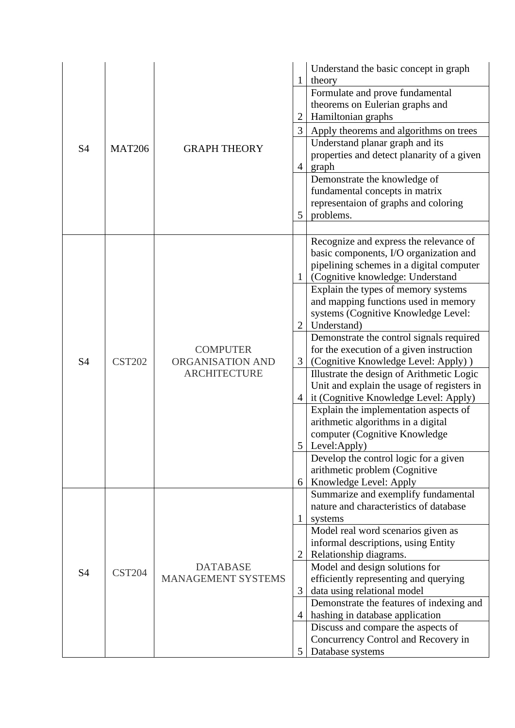| S <sub>4</sub> | <b>MAT206</b> | <b>GRAPH THEORY</b>                                        | 1<br>$\overline{3}$<br>$\overline{4}$<br>5 | Understand the basic concept in graph<br>theory<br>Formulate and prove fundamental<br>theorems on Eulerian graphs and<br>Hamiltonian graphs<br>Apply theorems and algorithms on trees<br>Understand planar graph and its<br>properties and detect planarity of a given<br>graph<br>Demonstrate the knowledge of<br>fundamental concepts in matrix<br>representaion of graphs and coloring<br>problems.                                                                                                                                                                                                                                                                                                                                                                                                            |
|----------------|---------------|------------------------------------------------------------|--------------------------------------------|-------------------------------------------------------------------------------------------------------------------------------------------------------------------------------------------------------------------------------------------------------------------------------------------------------------------------------------------------------------------------------------------------------------------------------------------------------------------------------------------------------------------------------------------------------------------------------------------------------------------------------------------------------------------------------------------------------------------------------------------------------------------------------------------------------------------|
| <b>S4</b>      | <b>CST202</b> | <b>COMPUTER</b><br>ORGANISATION AND<br><b>ARCHITECTURE</b> | $\mathbf{1}$<br>2<br>3<br>4<br>6           | Recognize and express the relevance of<br>basic components, I/O organization and<br>pipelining schemes in a digital computer<br>(Cognitive knowledge: Understand<br>Explain the types of memory systems<br>and mapping functions used in memory<br>systems (Cognitive Knowledge Level:<br>Understand)<br>Demonstrate the control signals required<br>for the execution of a given instruction<br>(Cognitive Knowledge Level: Apply))<br>Illustrate the design of Arithmetic Logic<br>Unit and explain the usage of registers in<br>it (Cognitive Knowledge Level: Apply)<br>Explain the implementation aspects of<br>arithmetic algorithms in a digital<br>computer (Cognitive Knowledge<br>$5$ Level: Apply)<br>Develop the control logic for a given<br>arithmetic problem (Cognitive<br>Knowledge Level: Apply |
| S <sub>4</sub> | <b>CST204</b> | <b>DATABASE</b><br><b>MANAGEMENT SYSTEMS</b>               | 1<br>$\overline{2}$<br>3<br>4<br>5         | Summarize and exemplify fundamental<br>nature and characteristics of database<br>systems<br>Model real word scenarios given as<br>informal descriptions, using Entity<br>Relationship diagrams.<br>Model and design solutions for<br>efficiently representing and querying<br>data using relational model<br>Demonstrate the features of indexing and<br>hashing in database application<br>Discuss and compare the aspects of<br>Concurrency Control and Recovery in<br>Database systems                                                                                                                                                                                                                                                                                                                         |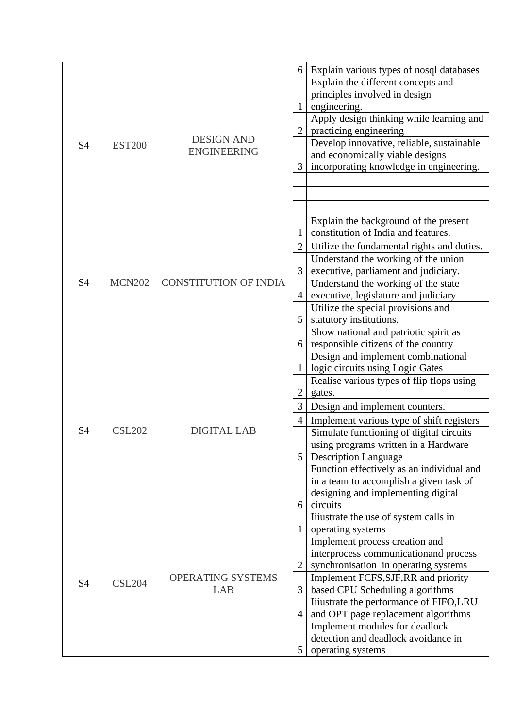|                |               |                              | 6              | Explain various types of nosql databases                           |
|----------------|---------------|------------------------------|----------------|--------------------------------------------------------------------|
|                |               |                              |                | Explain the different concepts and                                 |
|                |               |                              |                | principles involved in design                                      |
|                |               |                              | $\mathbf{1}$   | engineering.                                                       |
|                |               |                              | $\overline{2}$ | Apply design thinking while learning and<br>practicing engineering |
| S <sub>4</sub> | <b>EST200</b> | <b>DESIGN AND</b>            |                | Develop innovative, reliable, sustainable                          |
|                |               | <b>ENGINEERING</b>           |                | and economically viable designs                                    |
|                |               |                              | 3              | incorporating knowledge in engineering.                            |
|                |               |                              |                |                                                                    |
|                |               |                              |                |                                                                    |
|                |               |                              |                |                                                                    |
|                |               |                              |                | Explain the background of the present                              |
|                |               |                              |                | constitution of India and features.                                |
|                |               |                              | $\overline{2}$ | Utilize the fundamental rights and duties.                         |
|                |               |                              |                | Understand the working of the union                                |
|                |               |                              | 3              | executive, parliament and judiciary.                               |
| S4             | <b>MCN202</b> | <b>CONSTITUTION OF INDIA</b> |                | Understand the working of the state                                |
|                |               |                              | 4              | executive, legislature and judiciary                               |
|                |               |                              | 5              | Utilize the special provisions and<br>statutory institutions.      |
|                |               |                              |                | Show national and patriotic spirit as                              |
|                |               |                              | 6              | responsible citizens of the country                                |
|                |               |                              |                | Design and implement combinational                                 |
|                | <b>CSL202</b> |                              | 1              | logic circuits using Logic Gates                                   |
|                |               |                              |                | Realise various types of flip flops using                          |
|                |               |                              |                | gates.                                                             |
|                |               |                              | 3              | Design and implement counters.                                     |
|                |               |                              | 4              | Implement various type of shift registers                          |
| S <sub>4</sub> |               | <b>DIGITAL LAB</b>           |                | Simulate functioning of digital circuits                           |
|                |               |                              |                | using programs written in a Hardware                               |
|                |               |                              | 5              | <b>Description Language</b>                                        |
|                |               |                              |                | Function effectively as an individual and                          |
|                |               |                              |                | in a team to accomplish a given task of                            |
|                |               |                              |                | designing and implementing digital                                 |
|                |               |                              | 6              | circuits                                                           |
|                |               |                              | 1              | Iiiustrate the use of system calls in<br>operating systems         |
|                |               |                              |                | Implement process creation and                                     |
|                |               |                              |                | interprocess communicationand process                              |
|                |               |                              | $\overline{2}$ | synchronisation in operating systems                               |
|                |               | OPERATING SYSTEMS            |                | Implement FCFS, SJF, RR and priority                               |
| S <sub>4</sub> | <b>CSL204</b> | LAB                          | 3              | based CPU Scheduling algorithms                                    |
|                |               |                              |                | Iiiustrate the performance of FIFO,LRU                             |
|                |               |                              | 4              | and OPT page replacement algorithms                                |
|                |               |                              |                | Implement modules for deadlock                                     |
|                |               |                              |                | detection and deadlock avoidance in                                |
|                |               |                              | 5              | operating systems                                                  |